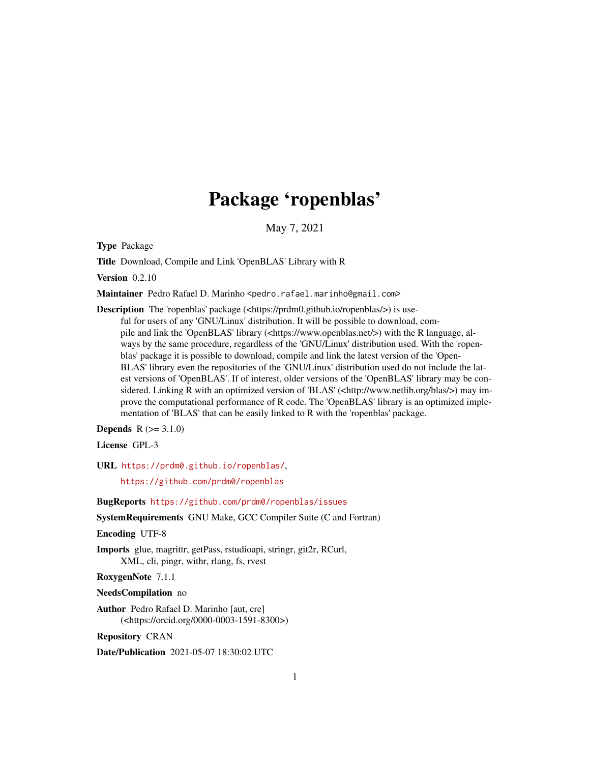# Package 'ropenblas'

May 7, 2021

<span id="page-0-0"></span>Type Package

Title Download, Compile and Link 'OpenBLAS' Library with R

Version 0.2.10

Maintainer Pedro Rafael D. Marinho <pedro.rafael.marinho@gmail.com>

Description The 'ropenblas' package (<https://prdm0.github.io/ropenblas/>) is useful for users of any 'GNU/Linux' distribution. It will be possible to download, compile and link the 'OpenBLAS' library (<https://www.openblas.net/>) with the R language, always by the same procedure, regardless of the 'GNU/Linux' distribution used. With the 'ropenblas' package it is possible to download, compile and link the latest version of the 'Open-BLAS' library even the repositories of the 'GNU/Linux' distribution used do not include the latest versions of 'OpenBLAS'. If of interest, older versions of the 'OpenBLAS' library may be considered. Linking R with an optimized version of 'BLAS' (<http://www.netlib.org/blas/>) may improve the computational performance of R code. The 'OpenBLAS' library is an optimized implementation of 'BLAS' that can be easily linked to R with the 'ropenblas' package.

**Depends**  $R (= 3.1.0)$ 

License GPL-3

URL <https://prdm0.github.io/ropenblas/>,

<https://github.com/prdm0/ropenblas>

BugReports <https://github.com/prdm0/ropenblas/issues>

SystemRequirements GNU Make, GCC Compiler Suite (C and Fortran)

Encoding UTF-8

Imports glue, magrittr, getPass, rstudioapi, stringr, git2r, RCurl, XML, cli, pingr, withr, rlang, fs, rvest

RoxygenNote 7.1.1

NeedsCompilation no

Author Pedro Rafael D. Marinho [aut, cre] (<https://orcid.org/0000-0003-1591-8300>)

Repository CRAN

Date/Publication 2021-05-07 18:30:02 UTC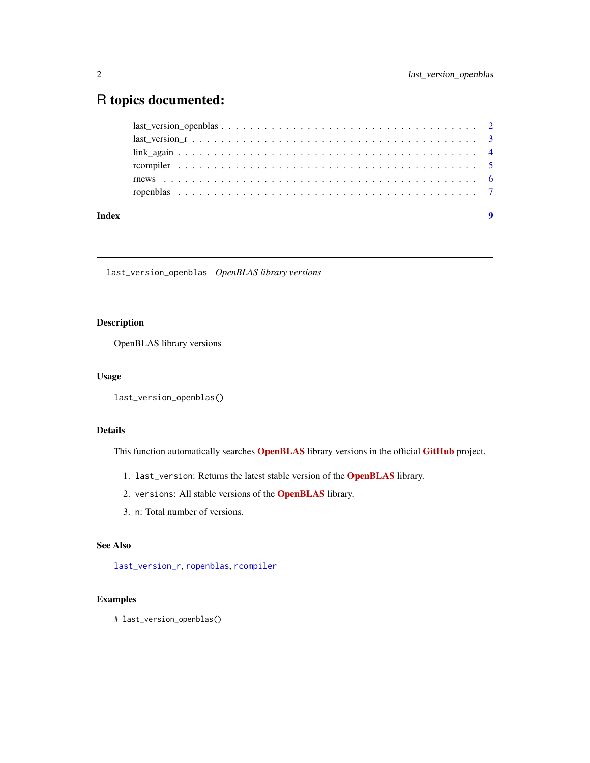# <span id="page-1-0"></span>R topics documented:

|       | $last\_version\_openblas \dots \dots \dots \dots \dots \dots \dots \dots \dots \dots \dots \dots \dots \dots \dots \dots \dots$ |  |
|-------|---------------------------------------------------------------------------------------------------------------------------------|--|
|       |                                                                                                                                 |  |
|       |                                                                                                                                 |  |
|       |                                                                                                                                 |  |
|       |                                                                                                                                 |  |
|       |                                                                                                                                 |  |
|       |                                                                                                                                 |  |
| Index |                                                                                                                                 |  |

last\_version\_openblas *OpenBLAS library versions*

### Description

OpenBLAS library versions

#### Usage

```
last_version_openblas()
```
# Details

This function automatically searches **[OpenBLAS](https://www.openblas.net/)** library versions in the official [GitHub](https://github.com/xianyi/OpenBLAS) project.

- 1. last\_version: Returns the latest stable version of the [OpenBLAS](https://www.openblas.net/) library.
- 2. versions: All stable versions of the [OpenBLAS](https://www.openblas.net/) library.
- 3. n: Total number of versions.

#### See Also

[last\\_version\\_r](#page-2-1), [ropenblas](#page-6-1), [rcompiler](#page-4-1)

# Examples

# last\_version\_openblas()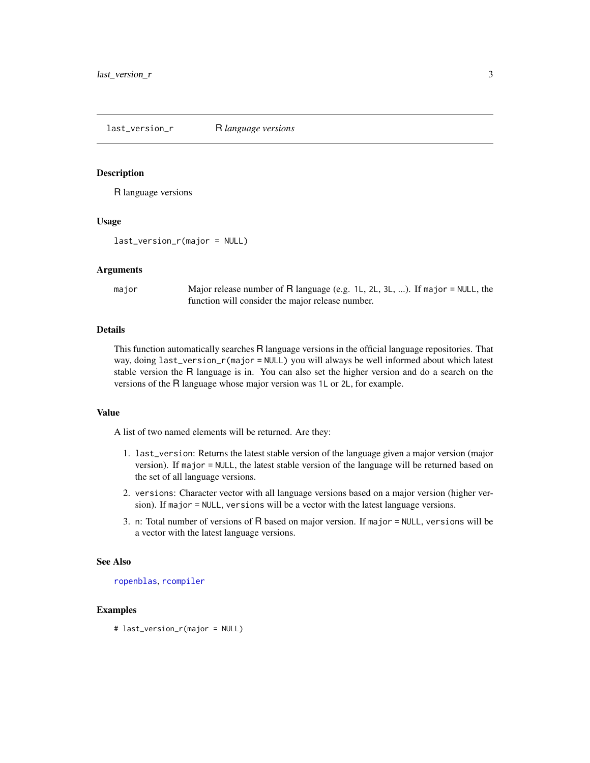<span id="page-2-1"></span><span id="page-2-0"></span>last\_version\_r R *language versions*

#### Description

R language versions

#### Usage

last\_version\_r(major = NULL)

#### Arguments

major Major release number of R language (e.g. 1L, 2L, 3L, ...). If major = NULL, the function will consider the major release number.

#### Details

This function automatically searches R language versions in the official language repositories. That way, doing last\_version\_r(major = NULL) you will always be well informed about which latest stable version the R language is in. You can also set the higher version and do a search on the versions of the R language whose major version was 1L or 2L, for example.

#### Value

A list of two named elements will be returned. Are they:

- 1. last\_version: Returns the latest stable version of the language given a major version (major version). If major = NULL, the latest stable version of the language will be returned based on the set of all language versions.
- 2. versions: Character vector with all language versions based on a major version (higher version). If major = NULL, versions will be a vector with the latest language versions.
- 3. n: Total number of versions of R based on major version. If major = NULL, versions will be a vector with the latest language versions.

#### See Also

[ropenblas](#page-6-1), [rcompiler](#page-4-1)

#### Examples

# last\_version\_r(major = NULL)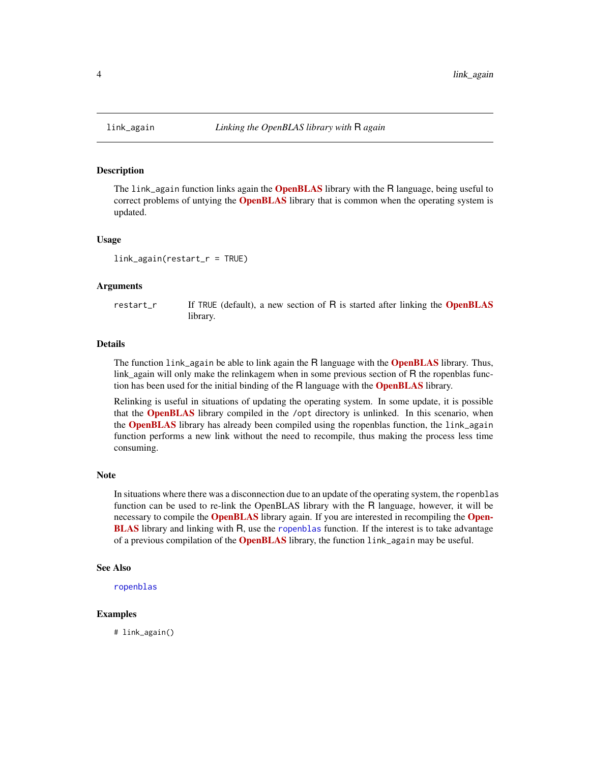<span id="page-3-0"></span>

#### Description

The link\_again function links again the **[OpenBLAS](https://www.openblas.net/)** library with the R language, being useful to correct problems of untying the **[OpenBLAS](https://www.openblas.net/)** library that is common when the operating system is updated.

#### Usage

link\_again(restart\_r = TRUE)

#### Arguments

restart\_r If TRUE (default), a new section of  $R$  is started after linking the **[OpenBLAS](https://www.openblas.net/)** library.

#### Details

The function link\_again be able to link again the R language with the **[OpenBLAS](https://www.openblas.net/)** library. Thus, link\_again will only make the relinkagem when in some previous section of R the ropenblas function has been used for the initial binding of the R language with the **[OpenBLAS](https://www.openblas.net/)** library.

Relinking is useful in situations of updating the operating system. In some update, it is possible that the **[OpenBLAS](https://www.openblas.net/)** library compiled in the /opt directory is unlinked. In this scenario, when the **[OpenBLAS](https://www.openblas.net/)** library has already been compiled using the ropenblas function, the link\_again function performs a new link without the need to recompile, thus making the process less time consuming.

#### **Note**

In situations where there was a disconnection due to an update of the operating system, the ropenblas function can be used to re-link the OpenBLAS library with the R language, however, it will be necessary to compile the **[OpenBLAS](https://www.openblas.net/)** library again. If you are interested in recompiling the **[Open-](https://www.openblas.net/)[BLAS](https://www.openblas.net/)** library and linking with R, use the [ropenblas](#page-6-1) function. If the interest is to take advantage of a previous compilation of the **[OpenBLAS](https://www.openblas.net/)** library, the function link\_again may be useful.

# See Also

```
ropenblas
```
#### Examples

# link\_again()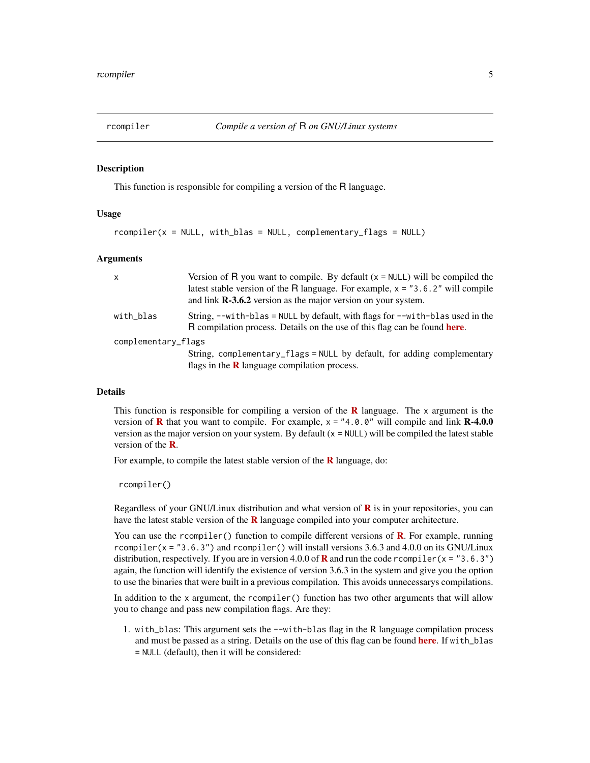<span id="page-4-1"></span><span id="page-4-0"></span>

#### Description

This function is responsible for compiling a version of the R language.

#### Usage

```
rcomplier(x = NULL, with\_blas = NULL, complementary_flags = NULL)
```
#### Arguments

| $\mathsf{x}$        | Version of R you want to compile. By default $(x = NULL)$ will be compiled the<br>latest stable version of the R language. For example, $x = "3.6.2"$ will compile<br>and link $\mathbb{R}\text{-}3.6.2$ version as the major version on your system. |  |  |  |
|---------------------|-------------------------------------------------------------------------------------------------------------------------------------------------------------------------------------------------------------------------------------------------------|--|--|--|
| with_blas           | String, $-\text{with-blas} = \text{NULL}$ by default, with flags for $-\text{with-blas}$ used in the<br>R compilation process. Details on the use of this flag can be found <b>here</b> .                                                             |  |  |  |
| complementary_flags |                                                                                                                                                                                                                                                       |  |  |  |
|                     | String, complementary_flags = NULL by default, for adding complementary<br>flags in the $\bf{R}$ language compilation process.                                                                                                                        |  |  |  |

# Details

This function is responsible for compiling a version of the  $\bf{R}$  $\bf{R}$  $\bf{R}$  language. The x argument is the version of **[R](https://www.r-project.org/)** that you want to compile. For example,  $x = 4.0$ . 0" will compile and link **R-4.0.0** version as the major version on your system. By default  $(x = NULL)$  will be compiled the latest stable version of the **[R](https://www.r-project.org/)**.

For example, to compile the latest stable version of the  $\bf{R}$  $\bf{R}$  $\bf{R}$  language, do:

rcompiler()

[R](https://www.r-project.org/)egardless of your GNU/Linux distribution and what version of  $\bf{R}$  is in your repositories, you can have the latest stable version of the  $R$  language compiled into your computer architecture.

You can use the rcompiler() function to compile different versions of  $\bf{R}$  $\bf{R}$  $\bf{R}$ . For example, running rcompiler( $x = "3.6.3")$  and rcompiler() will install versions 3.6.3 and 4.0.0 on its GNU/Linux distribution, respectively. If you are in version 4.0.0 of **[R](https://www.r-project.org/)** and run the code rcompiler(x = "3.6.3") again, the function will identify the existence of version 3.6.3 in the system and give you the option to use the binaries that were built in a previous compilation. This avoids unnecessarys compilations.

In addition to the x argument, the rcompiler() function has two other arguments that will allow you to change and pass new compilation flags. Are they:

1. with\_blas: This argument sets the --with-blas flag in the R language compilation process and must be passed as a string. Details on the use of this flag can be found [here](https://cran.r-project.org/doc/manuals/r-devel/R-admin.html). If with\_blas = NULL (default), then it will be considered: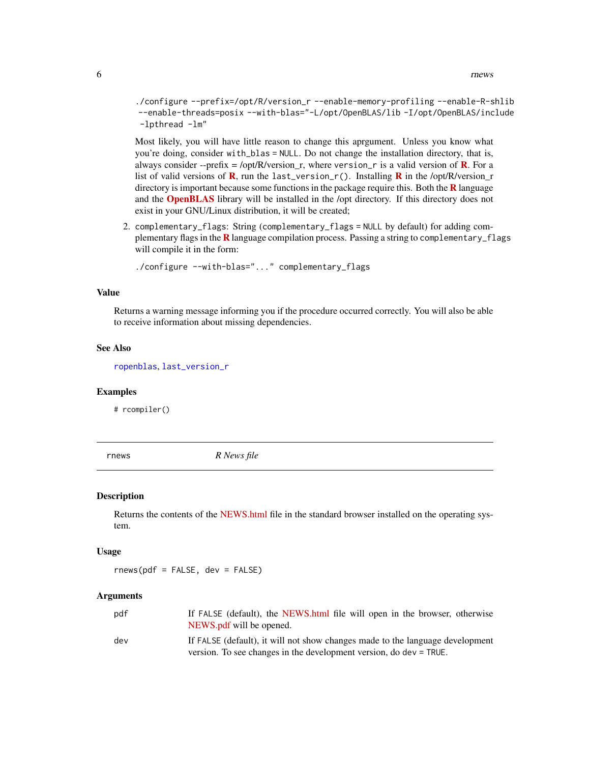<span id="page-5-0"></span>./configure --prefix=/opt/R/version\_r --enable-memory-profiling --enable-R-shlib --enable-threads=posix --with-blas="-L/opt/OpenBLAS/lib -I/opt/OpenBLAS/include -lpthread -lm"

Most likely, you will have little reason to change this aprgument. Unless you know what you're doing, consider with\_blas = NULL. Do not change the installation directory, that is, always consider --prefix = /opt/[R](https://www.r-project.org/)/version\_r, where version\_r is a valid version of **R**. For a list of valid versions of **[R](https://www.r-project.org/)**, run the last\_version\_r(). Installing **R** in the /opt/R/version\_r directory is important because some functions in the package require this. Both the  $\bf{R}$  $\bf{R}$  $\bf{R}$  language and the **[OpenBLAS](https://www.openblas.net/)** library will be installed in the /opt directory. If this directory does not exist in your GNU/Linux distribution, it will be created;

2. complementary\_flags: String (complementary\_flags = NULL by default) for adding com-plementary flags in the [R](https://www.r-project.org/) language compilation process. Passing a string to complementary\_flags will compile it in the form:

./configure --with-blas="..." complementary\_flags

#### Value

Returns a warning message informing you if the procedure occurred correctly. You will also be able to receive information about missing dependencies.

#### See Also

[ropenblas](#page-6-1), [last\\_version\\_r](#page-2-1)

#### Examples

# rcompiler()

<span id="page-5-1"></span>rnews *R News file*

#### **Description**

Returns the contents of the [NEWS.html](https://cran.r-project.org/doc/manuals/r-release/NEWS.html) file in the standard browser installed on the operating system.

#### Usage

 $rnews(pdf = FALSE, dev = FALSE)$ 

#### Arguments

| pdf | If FALSE (default), the NEWS, html file will open in the browser, otherwise<br>NEWS.pdf will be opened.                                             |
|-----|-----------------------------------------------------------------------------------------------------------------------------------------------------|
| dev | If FALSE (default), it will not show changes made to the language development<br>version. To see changes in the development version, do dev = TRUE. |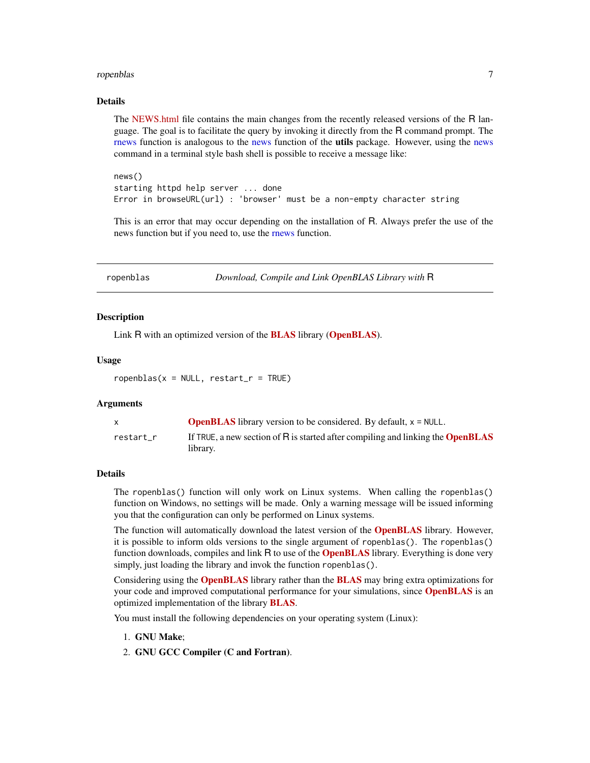#### <span id="page-6-0"></span>ropenblas and the contract of the contract of the contract of the contract of the contract of the contract of the contract of the contract of the contract of the contract of the contract of the contract of the contract of

#### Details

The [NEWS.html](https://cran.r-project.org/doc/manuals/r-release/NEWS.html) file contains the main changes from the recently released versions of the R language. The goal is to facilitate the query by invoking it directly from the R command prompt. The [rnews](#page-5-1) function is analogous to the [news](#page-0-0) function of the **utils** package. However, using the news command in a terminal style bash shell is possible to receive a message like:

news() starting httpd help server ... done Error in browseURL(url) : 'browser' must be a non-empty character string

This is an error that may occur depending on the installation of R. Always prefer the use of the news function but if you need to, use the [rnews](#page-5-1) function.

<span id="page-6-1"></span>ropenblas *Download, Compile and Link OpenBLAS Library with* R

#### Description

Link R with an optimized version of the **[BLAS](http://www.netlib.org/blas/)** library (**[OpenBLAS](https://www.openblas.net/)**).

#### Usage

 $r^{\text{openblas}}(x = \text{NULL}, \text{restart}_r = \text{TRUE})$ 

#### Arguments

|           | <b>OpenBLAS</b> library version to be considered. By default, $x = NULL$ .             |
|-----------|----------------------------------------------------------------------------------------|
| restart r | If TRUE, a new section of R is started after compiling and linking the <b>OpenBLAS</b> |
|           | library.                                                                               |

#### **Details**

The ropenblas() function will only work on Linux systems. When calling the ropenblas() function on Windows, no settings will be made. Only a warning message will be issued informing you that the configuration can only be performed on Linux systems.

The function will automatically download the latest version of the **[OpenBLAS](https://www.openblas.net/)** library. However, it is possible to inform olds versions to the single argument of ropenblas(). The ropenblas() function downloads, compiles and link R to use of the **[OpenBLAS](https://www.openblas.net/)** library. Everything is done very simply, just loading the library and invok the function ropenblas().

Considering using the **[OpenBLAS](https://www.openblas.net/)** library rather than the **[BLAS](http://www.netlib.org/blas/)** may bring extra optimizations for your code and improved computational performance for your simulations, since **[OpenBLAS](https://www.openblas.net/)** is an optimized implementation of the library [BLAS](http://www.netlib.org/blas/).

You must install the following dependencies on your operating system (Linux):

- 1. GNU Make;
- 2. GNU GCC Compiler (C and Fortran).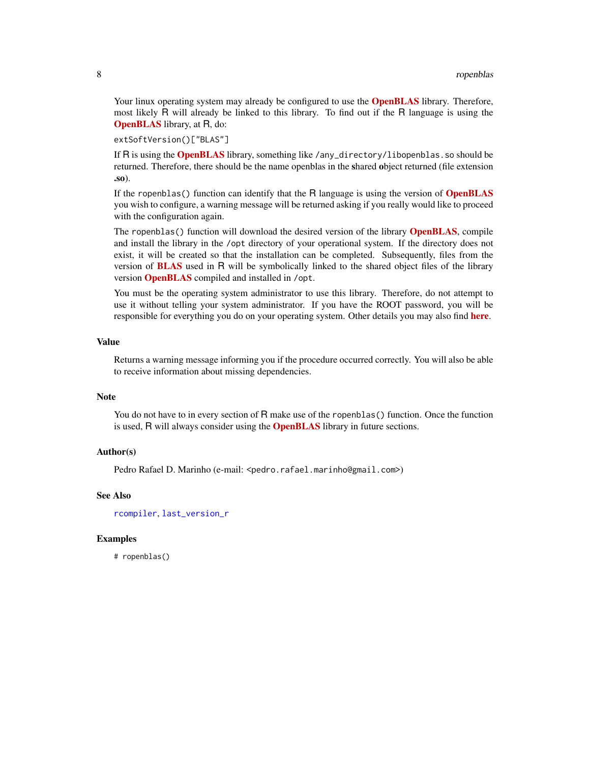<span id="page-7-0"></span>Your linux operating system may already be configured to use the **[OpenBLAS](https://www.openblas.net/)** library. Therefore, most likely R will already be linked to this library. To find out if the R language is using the [OpenBLAS](https://www.openblas.net/) library, at R, do:

extSoftVersion()["BLAS"]

If R is using the **[OpenBLAS](https://www.openblas.net/)** library, something like /any\_directory/libopenblas.so should be returned. Therefore, there should be the name openblas in the shared object returned (file extension .so).

If the ropenblas() function can identify that the R language is using the version of **[OpenBLAS](https://www.openblas.net/)** you wish to configure, a warning message will be returned asking if you really would like to proceed with the configuration again.

The ropenblas() function will download the desired version of the library **[OpenBLAS](https://www.openblas.net/)**, compile and install the library in the /opt directory of your operational system. If the directory does not exist, it will be created so that the installation can be completed. Subsequently, files from the version of [BLAS](http://www.netlib.org/blas/) used in R will be symbolically linked to the shared object files of the library version **[OpenBLAS](https://www.openblas.net/)** compiled and installed in /opt.

You must be the operating system administrator to use this library. Therefore, do not attempt to use it without telling your system administrator. If you have the ROOT password, you will be responsible for everything you do on your operating system. Other details you may also find [here](https://prdm0.github.io/ropenblas/index.html).

#### Value

Returns a warning message informing you if the procedure occurred correctly. You will also be able to receive information about missing dependencies.

#### **Note**

You do not have to in every section of R make use of the ropenblas() function. Once the function is used, R will always consider using the **[OpenBLAS](https://www.openblas.net/)** library in future sections.

#### Author(s)

Pedro Rafael D. Marinho (e-mail: <pedro.rafael.marinho@gmail.com>)

#### See Also

[rcompiler](#page-4-1), [last\\_version\\_r](#page-2-1)

#### Examples

# ropenblas()